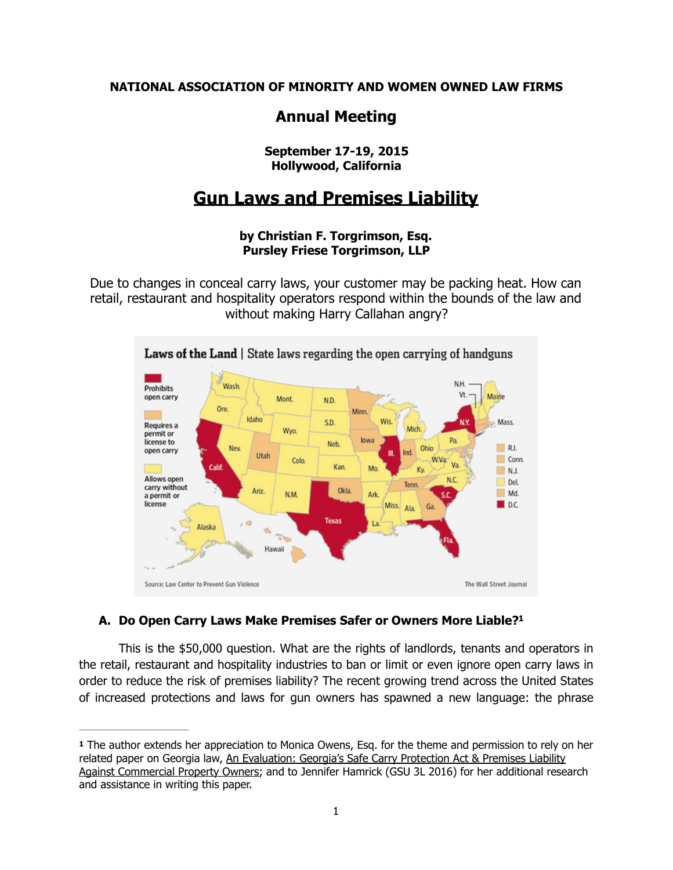**NATIONAL ASSOCIATION OF MINORITY AND WOMEN OWNED LAW FIRMS** 

## **Annual Meeting**

## **September 17-19, 2015 Hollywood, California**

# **Gun Laws and Premises Liability**

## **by Christian F. Torgrimson, Esq. Pursley Friese Torgrimson, LLP**

Due to changes in conceal carry laws, your customer may be packing heat. How can retail, restaurant and hospitality operators respond within the bounds of the law and without making Harry Callahan angry?



## <span id="page-0-1"></span>**A. Do Open Carry Laws Make Premises Safer or Owners More Liable[?1](#page-0-0)**

This is the \$50,000 question. What are the rights of landlords, tenants and operators in the retail, restaurant and hospitality industries to ban or limit or even ignore open carry laws in order to reduce the risk of premises liability? The recent growing trend across the United States of increased protections and laws for gun owners has spawned a new language: the phrase

<span id="page-0-0"></span>**[<sup>1</sup>](#page-0-1)** The author extends her appreciation to Monica Owens, Esq. for the theme and permission to rely on her related paper on Georgia law, An Evaluation: Georgia's Safe Carry Protection Act & Premises Liability Against Commercial Property Owners; and to Jennifer Hamrick (GSU 3L 2016) for her additional research and assistance in writing this paper.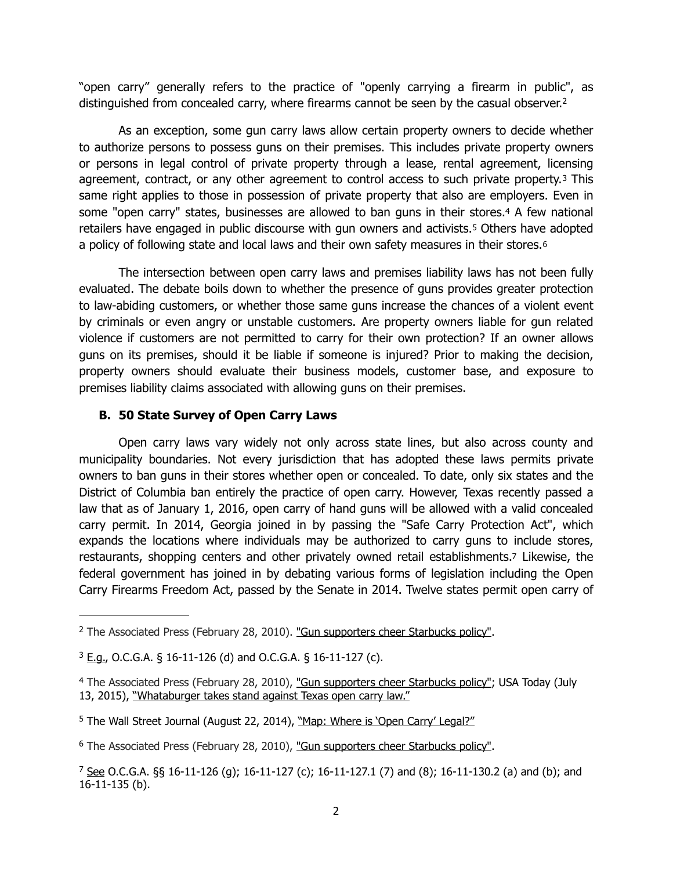<span id="page-1-6"></span>"open carry" generally refers to the practice of "openly carrying a firearm in public", as distinguished from concealed carry, where firearms cannot be seen by the casual observer.<sup>[2](#page-1-0)</sup>

<span id="page-1-7"></span>As an exception, some gun carry laws allow certain property owners to decide whether to authorize persons to possess guns on their premises. This includes private property owners or persons in legal control of private property through a lease, rental agreement, licensing agreement, contract, or any other agreement to control access to such private property.[3](#page-1-1) This same right applies to those in possession of private property that also are employers. Even in some "open carry" states, businesses are allowed to ban guns in their stores.[4](#page-1-2) A few national retailers have engaged in public discourse with gun owners and activists.[5](#page-1-3) Others have adopted a policy of following state and local laws and their own safety measures in their stores.[6](#page-1-4)

<span id="page-1-10"></span><span id="page-1-9"></span><span id="page-1-8"></span> The intersection between open carry laws and premises liability laws has not been fully evaluated. The debate boils down to whether the presence of guns provides greater protection to law-abiding customers, or whether those same guns increase the chances of a violent event by criminals or even angry or unstable customers. Are property owners liable for gun related violence if customers are not permitted to carry for their own protection? If an owner allows guns on its premises, should it be liable if someone is injured? Prior to making the decision, property owners should evaluate their business models, customer base, and exposure to premises liability claims associated with allowing guns on their premises.

#### <span id="page-1-11"></span>**B. 50 State Survey of Open Carry Laws**

Open carry laws vary widely not only across state lines, but also across county and municipality boundaries. Not every jurisdiction that has adopted these laws permits private owners to ban guns in their stores whether open or concealed. To date, only six states and the District of Columbia ban entirely the practice of open carry. However, Texas recently passed a law that as of January 1, 2016, open carry of hand guns will be allowed with a valid concealed carry permit. In 2014, Georgia joined in by passing the "Safe Carry Protection Act", which expands the locations where individuals may be authorized to carry guns to include stores, restaurants, shopping centers and other privately owned retail establishments[.7](#page-1-5) Likewise, the federal government has joined in by debating various forms of legislation including the Open Carry Firearms Freedom Act, passed by the Senate in 2014. Twelve states permit open carry of

<span id="page-1-0"></span><sup>&</sup>lt;sup>2</sup> The Associated Press (February 28, 2010). ["Gun supporters cheer Starbucks policy"](http://www2.tbo.com/news/breaking-news/2010/feb/28/gun-supporters-cheer-starbucks-policy-ar-76042/).

<span id="page-1-1"></span> $3$   $E.g.,$  O.C.G.A. § 16-11-126 (d) and O.C.G.A. § 16-11-127 (c).

<span id="page-1-2"></span><sup>&</sup>lt;sup>4</sup> The Associated Press (February 28, 2010), ["Gun supporters cheer Starbucks policy"](http://www2.tbo.com/news/breaking-news/2010/feb/28/gun-supporters-cheer-starbucks-policy-ar-76042/); USA Today (July 13, 2015), "Whataburger takes stand against Texas open carry law."

<span id="page-1-3"></span><sup>&</sup>lt;sup>[5](#page-1-9)</sup> The Wall Street Journal (August 22, 2014), "Map: Where is 'Open Carry' Legal?"

<span id="page-1-4"></span><sup>&</sup>lt;sup>6</sup> The Associated Press (February 28, 2010), ["Gun supporters cheer Starbucks policy"](http://www2.tbo.com/news/breaking-news/2010/feb/28/gun-supporters-cheer-starbucks-policy-ar-76042/).

<span id="page-1-5"></span><sup>&</sup>lt;sup>[7](#page-1-11)</sup> See O.C.G.A. §§ 16-11-126 (g); 16-11-127 (c); 16-11-127.1 (7) and (8); 16-11-130.2 (a) and (b); and 16-11-135 (b).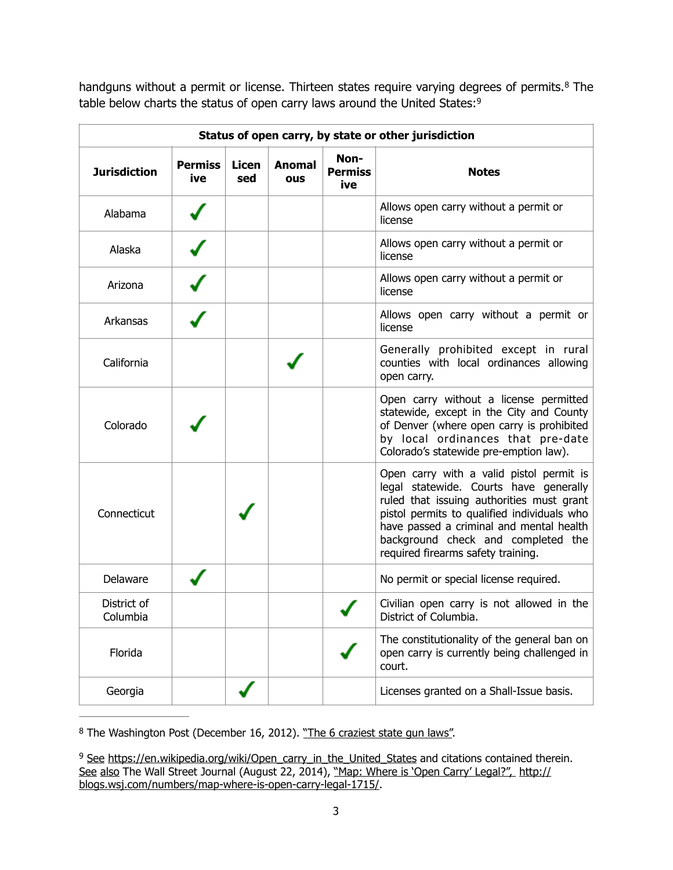<span id="page-2-3"></span><span id="page-2-2"></span>handgunswithout a permit or license. Thirteen states require varying degrees of permits.<sup>[8](#page-2-0)</sup> The table below charts the status of open carry laws around the United States:<sup>[9](#page-2-1)</sup>

| Status of open carry, by state or other jurisdiction |                       |                     |                      |                               |                                                                                                                                                                                                                                                                                                        |
|------------------------------------------------------|-----------------------|---------------------|----------------------|-------------------------------|--------------------------------------------------------------------------------------------------------------------------------------------------------------------------------------------------------------------------------------------------------------------------------------------------------|
| <b>Jurisdiction</b>                                  | <b>Permiss</b><br>ive | <b>Licen</b><br>sed | <b>Anomal</b><br>ous | Non-<br><b>Permiss</b><br>ive | <b>Notes</b>                                                                                                                                                                                                                                                                                           |
| Alabama                                              |                       |                     |                      |                               | Allows open carry without a permit or<br>license                                                                                                                                                                                                                                                       |
| Alaska                                               |                       |                     |                      |                               | Allows open carry without a permit or<br>license                                                                                                                                                                                                                                                       |
| Arizona                                              |                       |                     |                      |                               | Allows open carry without a permit or<br>license                                                                                                                                                                                                                                                       |
| Arkansas                                             |                       |                     |                      |                               | Allows open carry without a permit or<br>license                                                                                                                                                                                                                                                       |
| California                                           |                       |                     |                      |                               | Generally prohibited except in rural<br>counties with local ordinances allowing<br>open carry.                                                                                                                                                                                                         |
| Colorado                                             |                       |                     |                      |                               | Open carry without a license permitted<br>statewide, except in the City and County<br>of Denver (where open carry is prohibited<br>by local ordinances that pre-date<br>Colorado's statewide pre-emption law).                                                                                         |
| Connecticut                                          |                       |                     |                      |                               | Open carry with a valid pistol permit is<br>legal statewide. Courts have generally<br>ruled that issuing authorities must grant<br>pistol permits to qualified individuals who<br>have passed a criminal and mental health<br>background check and completed the<br>required firearms safety training. |
| Delaware                                             |                       |                     |                      |                               | No permit or special license required.                                                                                                                                                                                                                                                                 |
| District of<br>Columbia                              |                       |                     |                      |                               | Civilian open carry is not allowed in the<br>District of Columbia.                                                                                                                                                                                                                                     |
| Florida                                              |                       |                     |                      |                               | The constitutionality of the general ban on<br>open carry is currently being challenged in<br>court.                                                                                                                                                                                                   |
| Georgia                                              |                       |                     |                      |                               | Licenses granted on a Shall-Issue basis.                                                                                                                                                                                                                                                               |

<span id="page-2-0"></span><sup>[8](#page-2-2)</sup> The Washington Post (December 16, 2012). "The 6 craziest state gun laws".

<span id="page-2-1"></span><sup>&</sup>lt;sup>9</sup> See [https://en.wikipedia.org/wiki/Open\\_carry\\_in\\_the\\_United\\_States](https://en.wikipedia.org/wiki/Open_carry_in_the_United_States) and citations contained therein. See also The Wall Street Journal (August 22, 2014), "Map: Where is 'Open Carry' Legal?", [http://](http://blogs.wsj.com/numbers/map-where-is-open-carry-legal-1715/) [blogs.wsj.com/numbers/map-where-is-open-carry-legal-1715/](http://blogs.wsj.com/numbers/map-where-is-open-carry-legal-1715/).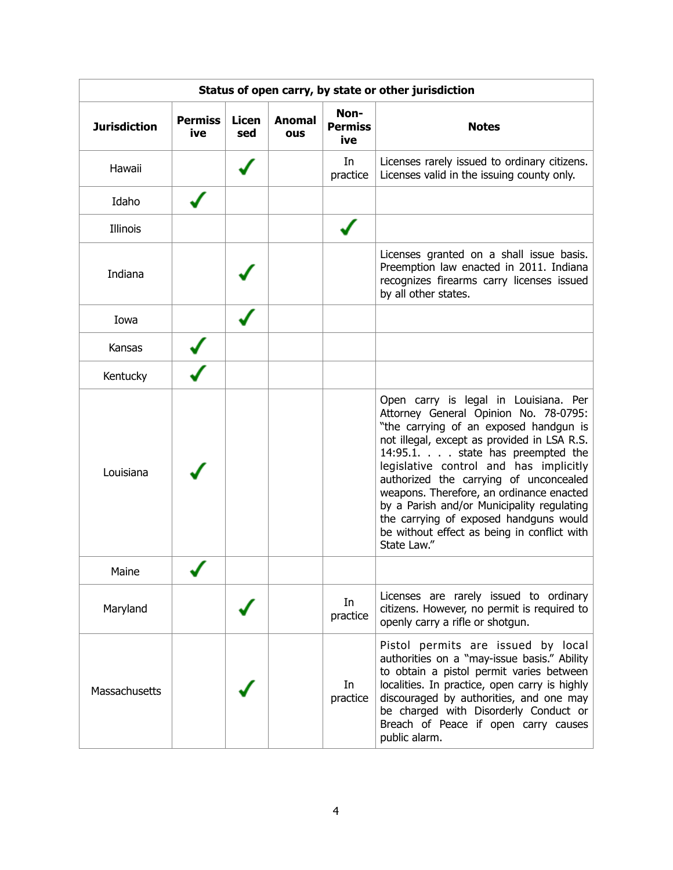| Status of open carry, by state or other jurisdiction |                       |                     |                      |                               |                                                                                                                                                                                                                                                                                                                                                                                                                                                                                                   |  |
|------------------------------------------------------|-----------------------|---------------------|----------------------|-------------------------------|---------------------------------------------------------------------------------------------------------------------------------------------------------------------------------------------------------------------------------------------------------------------------------------------------------------------------------------------------------------------------------------------------------------------------------------------------------------------------------------------------|--|
| <b>Jurisdiction</b>                                  | <b>Permiss</b><br>ive | <b>Licen</b><br>sed | <b>Anomal</b><br>ous | Non-<br><b>Permiss</b><br>ive | <b>Notes</b>                                                                                                                                                                                                                                                                                                                                                                                                                                                                                      |  |
| Hawaii                                               |                       |                     |                      | In<br>practice                | Licenses rarely issued to ordinary citizens.<br>Licenses valid in the issuing county only.                                                                                                                                                                                                                                                                                                                                                                                                        |  |
| Idaho                                                |                       |                     |                      |                               |                                                                                                                                                                                                                                                                                                                                                                                                                                                                                                   |  |
| Illinois                                             |                       |                     |                      |                               |                                                                                                                                                                                                                                                                                                                                                                                                                                                                                                   |  |
| Indiana                                              |                       |                     |                      |                               | Licenses granted on a shall issue basis.<br>Preemption law enacted in 2011. Indiana<br>recognizes firearms carry licenses issued<br>by all other states.                                                                                                                                                                                                                                                                                                                                          |  |
| Iowa                                                 |                       |                     |                      |                               |                                                                                                                                                                                                                                                                                                                                                                                                                                                                                                   |  |
| Kansas                                               |                       |                     |                      |                               |                                                                                                                                                                                                                                                                                                                                                                                                                                                                                                   |  |
| Kentucky                                             |                       |                     |                      |                               |                                                                                                                                                                                                                                                                                                                                                                                                                                                                                                   |  |
| Louisiana                                            |                       |                     |                      |                               | Open carry is legal in Louisiana. Per<br>Attorney General Opinion No. 78-0795:<br>"the carrying of an exposed handgun is<br>not illegal, except as provided in LSA R.S.<br>14:95.1. state has preempted the<br>legislative control and has implicitly<br>authorized the carrying of unconcealed<br>weapons. Therefore, an ordinance enacted<br>by a Parish and/or Municipality regulating<br>the carrying of exposed handguns would<br>be without effect as being in conflict with<br>State Law." |  |
| Maine                                                |                       |                     |                      |                               |                                                                                                                                                                                                                                                                                                                                                                                                                                                                                                   |  |
| Maryland                                             |                       |                     |                      | In<br>practice                | Licenses are rarely issued to ordinary<br>citizens. However, no permit is required to<br>openly carry a rifle or shotgun.                                                                                                                                                                                                                                                                                                                                                                         |  |
| Massachusetts                                        |                       |                     |                      | In<br>practice                | Pistol permits are issued by local<br>authorities on a "may-issue basis." Ability<br>to obtain a pistol permit varies between<br>localities. In practice, open carry is highly<br>discouraged by authorities, and one may<br>be charged with Disorderly Conduct or<br>Breach of Peace if open carry causes<br>public alarm.                                                                                                                                                                       |  |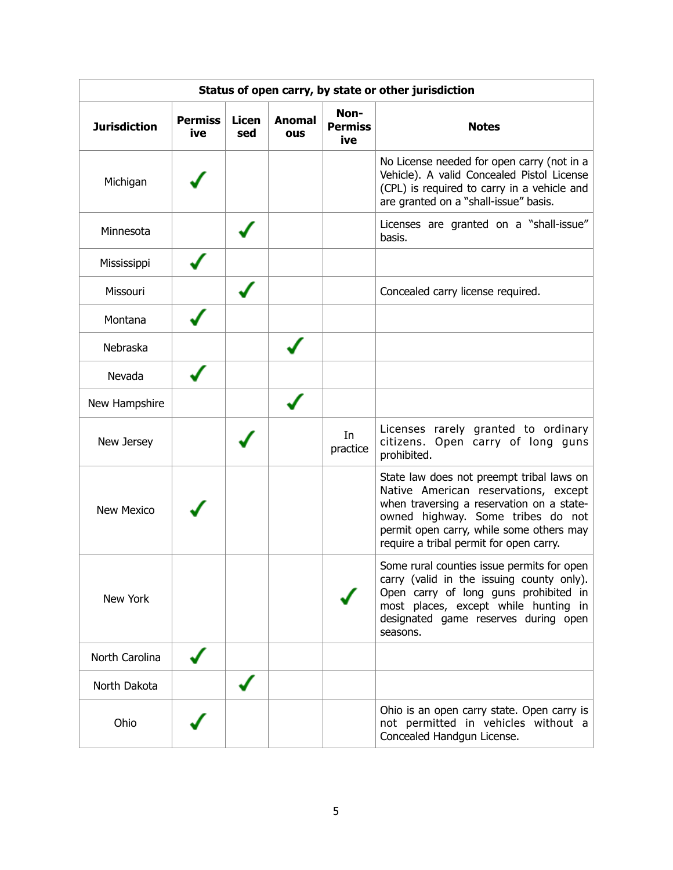| Status of open carry, by state or other jurisdiction |                       |                     |                      |                               |                                                                                                                                                                                                                                                            |  |
|------------------------------------------------------|-----------------------|---------------------|----------------------|-------------------------------|------------------------------------------------------------------------------------------------------------------------------------------------------------------------------------------------------------------------------------------------------------|--|
| <b>Jurisdiction</b>                                  | <b>Permiss</b><br>ive | <b>Licen</b><br>sed | <b>Anomal</b><br>ous | Non-<br><b>Permiss</b><br>ive | <b>Notes</b>                                                                                                                                                                                                                                               |  |
| Michigan                                             |                       |                     |                      |                               | No License needed for open carry (not in a<br>Vehicle). A valid Concealed Pistol License<br>(CPL) is required to carry in a vehicle and<br>are granted on a "shall-issue" basis.                                                                           |  |
| Minnesota                                            |                       |                     |                      |                               | Licenses are granted on a "shall-issue"<br>basis.                                                                                                                                                                                                          |  |
| Mississippi                                          |                       |                     |                      |                               |                                                                                                                                                                                                                                                            |  |
| Missouri                                             |                       |                     |                      |                               | Concealed carry license required.                                                                                                                                                                                                                          |  |
| Montana                                              |                       |                     |                      |                               |                                                                                                                                                                                                                                                            |  |
| Nebraska                                             |                       |                     |                      |                               |                                                                                                                                                                                                                                                            |  |
| Nevada                                               |                       |                     |                      |                               |                                                                                                                                                                                                                                                            |  |
| New Hampshire                                        |                       |                     |                      |                               |                                                                                                                                                                                                                                                            |  |
| New Jersey                                           |                       |                     |                      | In<br>practice                | Licenses rarely granted to ordinary<br>citizens. Open carry of long guns<br>prohibited.                                                                                                                                                                    |  |
| <b>New Mexico</b>                                    |                       |                     |                      |                               | State law does not preempt tribal laws on<br>Native American reservations, except<br>when traversing a reservation on a state-<br>owned highway. Some tribes do not<br>permit open carry, while some others may<br>require a tribal permit for open carry. |  |
| New York                                             |                       |                     |                      |                               | Some rural counties issue permits for open<br>carry (valid in the issuing county only).<br>Open carry of long guns prohibited in<br>most places, except while hunting in<br>designated game reserves during open<br>seasons.                               |  |
| North Carolina                                       |                       |                     |                      |                               |                                                                                                                                                                                                                                                            |  |
| North Dakota                                         |                       |                     |                      |                               |                                                                                                                                                                                                                                                            |  |
| Ohio                                                 |                       |                     |                      |                               | Ohio is an open carry state. Open carry is<br>not permitted in vehicles without a<br>Concealed Handgun License.                                                                                                                                            |  |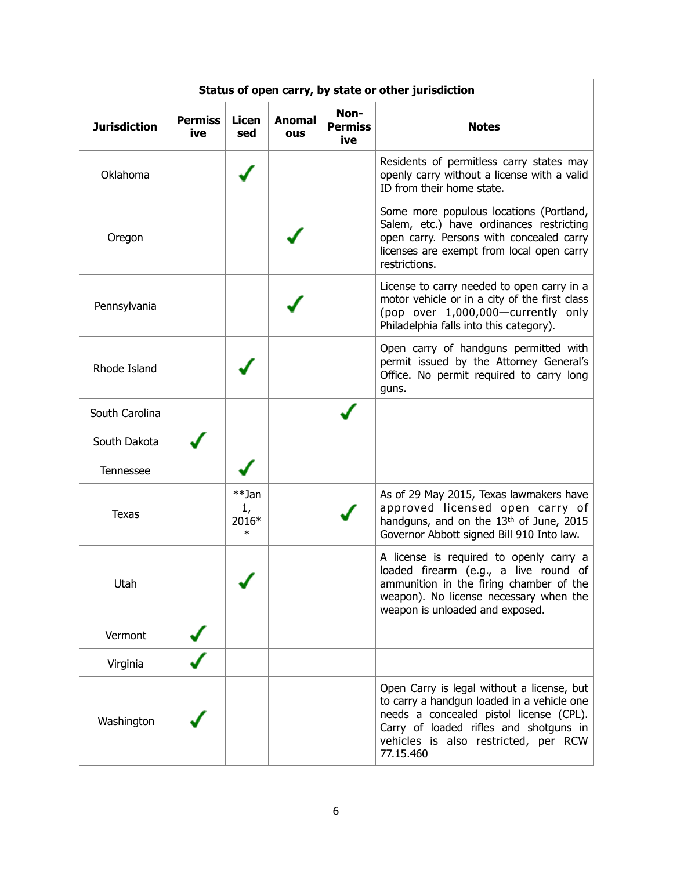| Status of open carry, by state or other jurisdiction |                       |                                |                      |                               |                                                                                                                                                                                                                                    |  |
|------------------------------------------------------|-----------------------|--------------------------------|----------------------|-------------------------------|------------------------------------------------------------------------------------------------------------------------------------------------------------------------------------------------------------------------------------|--|
| <b>Jurisdiction</b>                                  | <b>Permiss</b><br>ive | <b>Licen</b><br>sed            | <b>Anomal</b><br>ous | Non-<br><b>Permiss</b><br>ive | <b>Notes</b>                                                                                                                                                                                                                       |  |
| Oklahoma                                             |                       |                                |                      |                               | Residents of permitless carry states may<br>openly carry without a license with a valid<br>ID from their home state.                                                                                                               |  |
| Oregon                                               |                       |                                |                      |                               | Some more populous locations (Portland,<br>Salem, etc.) have ordinances restricting<br>open carry. Persons with concealed carry<br>licenses are exempt from local open carry<br>restrictions.                                      |  |
| Pennsylvania                                         |                       |                                |                      |                               | License to carry needed to open carry in a<br>motor vehicle or in a city of the first class<br>(pop over 1,000,000-currently only<br>Philadelphia falls into this category).                                                       |  |
| Rhode Island                                         |                       |                                |                      |                               | Open carry of handguns permitted with<br>permit issued by the Attorney General's<br>Office. No permit required to carry long<br>guns.                                                                                              |  |
| South Carolina                                       |                       |                                |                      |                               |                                                                                                                                                                                                                                    |  |
| South Dakota                                         |                       |                                |                      |                               |                                                                                                                                                                                                                                    |  |
| Tennessee                                            |                       |                                |                      |                               |                                                                                                                                                                                                                                    |  |
| <b>Texas</b>                                         |                       | **Jan<br>1,<br>2016*<br>$\ast$ |                      |                               | As of 29 May 2015, Texas lawmakers have<br>approved licensed open carry of<br>handguns, and on the 13th of June, 2015<br>Governor Abbott signed Bill 910 Into law.                                                                 |  |
| Utah                                                 |                       |                                |                      |                               | A license is required to openly carry a<br>loaded firearm (e.g., a live round of<br>ammunition in the firing chamber of the<br>weapon). No license necessary when the<br>weapon is unloaded and exposed.                           |  |
| Vermont                                              |                       |                                |                      |                               |                                                                                                                                                                                                                                    |  |
| Virginia                                             |                       |                                |                      |                               |                                                                                                                                                                                                                                    |  |
| Washington                                           |                       |                                |                      |                               | Open Carry is legal without a license, but<br>to carry a handgun loaded in a vehicle one<br>needs a concealed pistol license (CPL).<br>Carry of loaded rifles and shotguns in<br>vehicles is also restricted, per RCW<br>77.15.460 |  |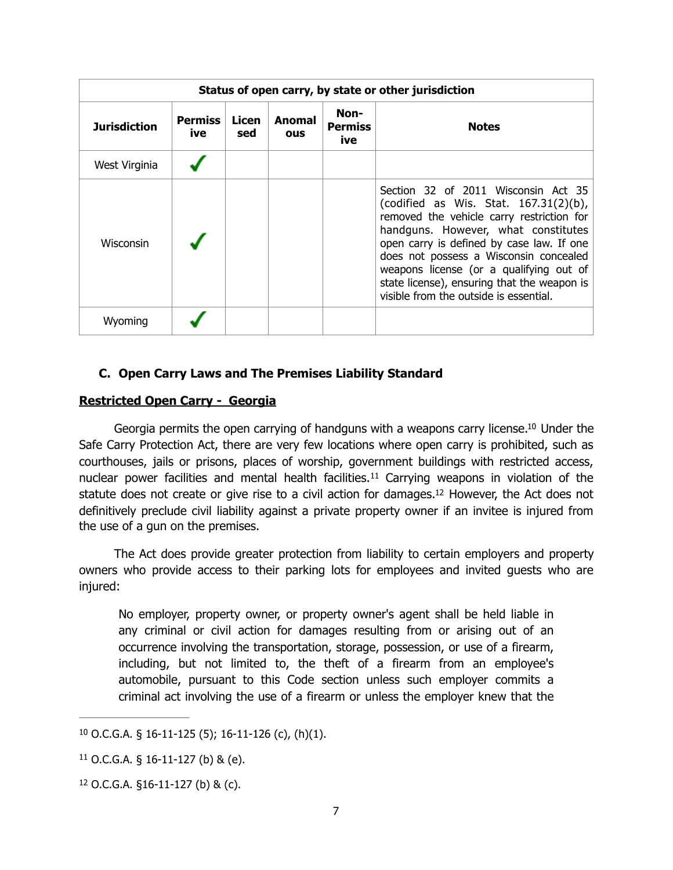| Status of open carry, by state or other jurisdiction |                       |              |                             |                               |                                                                                                                                                                                                                                                                                                                                                                                                |
|------------------------------------------------------|-----------------------|--------------|-----------------------------|-------------------------------|------------------------------------------------------------------------------------------------------------------------------------------------------------------------------------------------------------------------------------------------------------------------------------------------------------------------------------------------------------------------------------------------|
| <b>Jurisdiction</b>                                  | <b>Permiss</b><br>ive | Licen<br>sed | <b>Anomal</b><br><b>OUS</b> | Non-<br><b>Permiss</b><br>ive | <b>Notes</b>                                                                                                                                                                                                                                                                                                                                                                                   |
| West Virginia                                        |                       |              |                             |                               |                                                                                                                                                                                                                                                                                                                                                                                                |
| Wisconsin                                            |                       |              |                             |                               | Section 32 of 2011 Wisconsin Act 35<br>(codified as Wis. Stat. $167.31(2)(b)$ ,<br>removed the vehicle carry restriction for<br>handguns. However, what constitutes<br>open carry is defined by case law. If one<br>does not possess a Wisconsin concealed<br>weapons license (or a qualifying out of<br>state license), ensuring that the weapon is<br>visible from the outside is essential. |
| Wyoming                                              |                       |              |                             |                               |                                                                                                                                                                                                                                                                                                                                                                                                |

## <span id="page-6-3"></span>**C. Open Carry Laws and The Premises Liability Standard**

## **Restricted Open Carry - Georgia**

Georgia permits the open carrying of handguns with a weapons carry license[.](#page-6-0)<sup>[10](#page-6-0)</sup> Under the Safe Carry Protection Act, there are very few locations where open carry is prohibited, such as courthouses, jails or prisons, places of worship, government buildings with restricted access, nuclearpower facilities and mental health facilities.<sup>[11](#page-6-1)</sup> Carrying weapons in violation of the statute does not create or give rise to a civil action for damages[.](#page-6-2)<sup>[12](#page-6-2)</sup> However, the Act does not definitively preclude civil liability against a private property owner if an invitee is injured from the use of a gun on the premises.

The Act does provide greater protection from liability to certain employers and property owners who provide access to their parking lots for employees and invited guests who are injured:

<span id="page-6-5"></span><span id="page-6-4"></span>No employer, property owner, or property owner's agent shall be held liable in any criminal or civil action for damages resulting from or arising out of an occurrence involving the transportation, storage, possession, or use of a firearm, including, but not limited to, the theft of a firearm from an employee's automobile, pursuant to this Code section unless such employer commits a criminal act involving the use of a firearm or unless the employer knew that the

<span id="page-6-0"></span> $10$  O.C.G.A. § 16-11-125 (5); 16-11-126 (c), (h)(1).

<span id="page-6-1"></span> $11$  O.C.G.A. § 16-11-127 (b) & (e).

<span id="page-6-2"></span> $12$  O.C.G.A. §16-11-127 (b) & (c).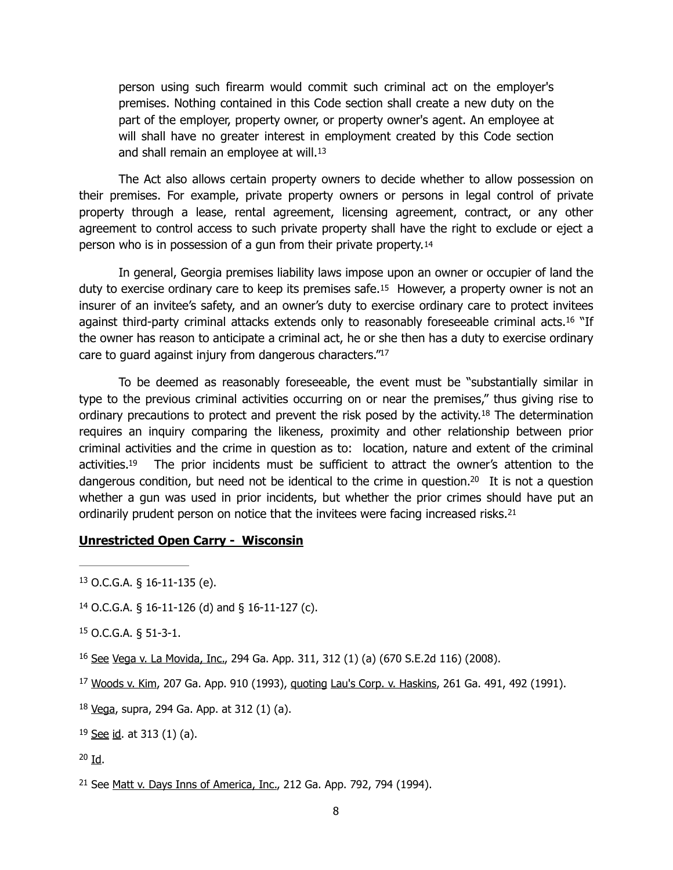<span id="page-7-10"></span><span id="page-7-9"></span>person using such firearm would commit such criminal act on the employer's premises. Nothing contained in this Code section shall create a new duty on the part of the employer, property owner, or property owner's agent. An employee at will shall have no greater interest in employment created by this Code section and shall remain an employee at will.<sup>[13](#page-7-0)</sup>

The Act also allows certain property owners to decide whether to allow possession on their premises. For example, private property owners or persons in legal control of private property through a lease, rental agreement, licensing agreement, contract, or any other agreement to control access to such private property shall have the right to exclude or eject a person who is in possession of a gun from their private property.[14](#page-7-1) 

<span id="page-7-12"></span><span id="page-7-11"></span>In general, Georgia premises liability laws impose upon an owner or occupier of land the duty to exercise ordinary care to keep its premises safe.[15](#page-7-2) However, a property owner is not an insurer of an invitee's safety, and an owner's duty to exercise ordinary care to protect invitees against third-party criminal attacks extends only to reasonably foreseeable criminal acts[.](#page-7-3)<sup>[16](#page-7-3)</sup> "If the owner has reason to anticipate a criminal act, he or she then has a duty to exercise ordinary care to guard against injury from dangerous characters.["](#page-7-4)<sup>[17](#page-7-4)</sup>

<span id="page-7-14"></span><span id="page-7-13"></span> To be deemed as reasonably foreseeable, the event must be "substantially similar in type to the previous criminal activities occurring on or near the premises," thus giving rise to ordinaryprecautions to protect and prevent the risk posed by the activity.<sup>[18](#page-7-5)</sup> The determination requires an inquiry comparing the likeness, proximity and other relationship between prior criminal activities and the crime in question as to: location, nature and extent of the criminal activities[.](#page-7-6)<sup>[19](#page-7-6)</sup> The prior incidents must be sufficient to attract the owner's attention to the dangerous condition, but need not be identical to the crime in question[.](#page-7-7)<sup>[20](#page-7-7)</sup> It is not a question whether a gun was used in prior incidents, but whether the prior crimes should have put an ordinarily prudent person on notice that the invitees were facing increased risks.<sup>21</sup>

#### <span id="page-7-17"></span><span id="page-7-16"></span><span id="page-7-15"></span>**Unrestricted Open Carry - Wisconsin**

<span id="page-7-1"></span><sup>[14](#page-7-10)</sup> O.C.G.A. § 16-11-126 (d) and § 16-11-127 (c).

```
15 O.C.G.A. § 51-3-1.
```
- <span id="page-7-3"></span><sup>[16](#page-7-12)</sup> See Vega v. La Movida, Inc., 294 Ga. App. 311, 312 (1) (a) (670 S.E.2d 116) (2008).
- <span id="page-7-4"></span><sup>[17](#page-7-13)</sup> Woods v. Kim, 207 Ga. App. 910 (1993), quoting Lau's Corp. v. Haskins, 261 Ga. 491, 492 (1991).
- <span id="page-7-5"></span> $18$  Vega, supra, 294 Ga. App. at 312 (1) (a).
- <span id="page-7-6"></span> $19$  See id. at 313 (1) (a).
- <span id="page-7-7"></span> $20$  Id.

<span id="page-7-8"></span> $21$  See Matt v. Days Inns of America, Inc., 212 Ga. App. 792, 794 (1994).

<span id="page-7-0"></span> $13$  O.C.G.A. § 16-11-135 (e).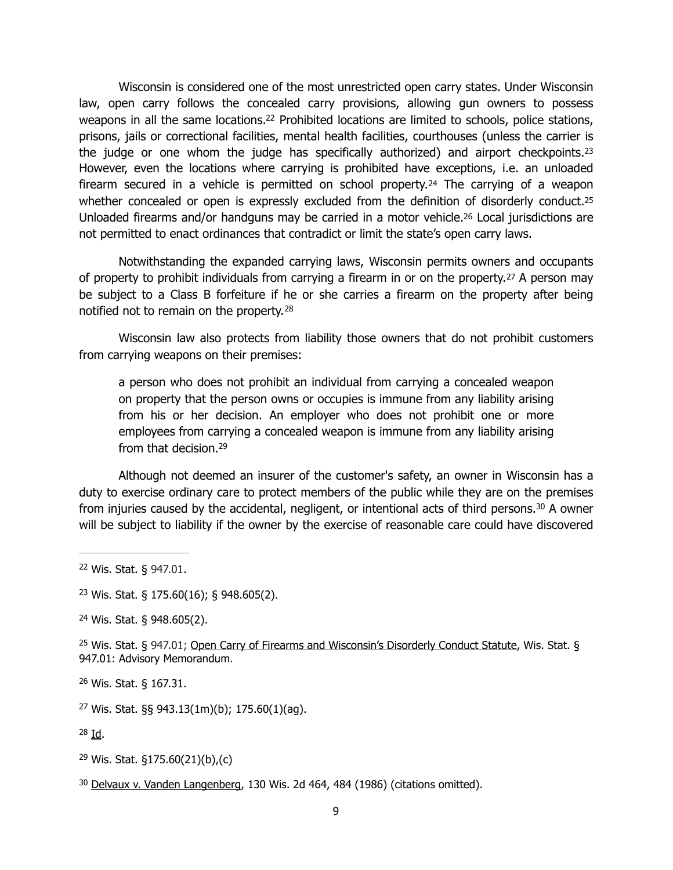<span id="page-8-10"></span><span id="page-8-9"></span>Wisconsin is considered one of the most unrestricted open carry states. Under Wisconsin law, open carry follows the concealed carry provisions, allowing gun owners to possess weapons in all the same locations[.](#page-8-0)<sup>[22](#page-8-0)</sup> Prohibited locations are limited to schools, police stations, prisons, jails or correctional facilities, mental health facilities, courthouses (unless the carrier is the judge or one whom the judge has specifically authorized) and airport checkpoints.<sup>[23](#page-8-1)</sup> However, even the locations where carrying is prohibited have exceptions, i.e. an unloaded firearm secured in a vehicle is permitted on school property.[24](#page-8-2) The carrying of a weapon whether concealed or open is expressly excluded from the definition of disorderly conduct.<sup>[25](#page-8-3)</sup> Unloaded firearms and/or handguns may be carried in a motor vehicle[.26](#page-8-4) Local jurisdictions are not permitted to enact ordinances that contradict or limit the state's open carry laws.

<span id="page-8-11"></span>Notwithstanding the expanded carrying laws, Wisconsin permits owners and occupants of property to prohibit individuals from carrying a firearm in or on the property.[27](#page-8-5) A person may be subject to a Class B forfeiture if he or she carries a firearm on the property after being notified not to remain on the property. [28](#page-8-6)

Wisconsin law also protects from liability those owners that do not prohibit customers from carrying weapons on their premises:

<span id="page-8-17"></span><span id="page-8-16"></span><span id="page-8-15"></span><span id="page-8-14"></span><span id="page-8-13"></span><span id="page-8-12"></span>a person who does not prohibit an individual from carrying a concealed weapon on property that the person owns or occupies is immune from any liability arising from his or her decision. An employer who does not prohibit one or more employees from carrying a concealed weapon is immune from any liability arising from that decision[.](#page-8-7)<sup>[29](#page-8-7)</sup>

Although not deemed an insurer of the customer's safety, an owner in Wisconsin has a duty to exercise ordinary care to protect members of the public while they are on the premises frominjuries caused by the accidental, negligent, or intentional acts of third persons.<sup>[30](#page-8-8)</sup> A owner will be subject to liability if the owner by the exercise of reasonable care could have discovered

<span id="page-8-3"></span><sup>[25](#page-8-12)</sup> Wis. Stat. § 947.01; Open Carry of Firearms and Wisconsin's Disorderly Conduct Statute, Wis. Stat. § 947.01: Advisory Memorandum.

<span id="page-8-4"></span>Wis. Stat. § 167.31. [26](#page-8-13)

<span id="page-8-5"></span> $27$  Wis. Stat. §§ 943.13(1m)(b); 175.60(1)(aq).

<span id="page-8-6"></span> $28$  Id.

<span id="page-8-7"></span><sup>[29](#page-8-16)</sup> Wis. Stat. §175.60(21)(b),(c)

<span id="page-8-0"></span>Wis. Stat. § 947.01. [22](#page-8-9)

<span id="page-8-1"></span><sup>&</sup>lt;sup>[23](#page-8-10)</sup> Wis. Stat. § 175.60(16); § 948.605(2).

<span id="page-8-2"></span>Wis. Stat. § 948.605(2). [24](#page-8-11)

<span id="page-8-8"></span> $30$  Delvaux v. Vanden Langenberg, 130 Wis. 2d 464, 484 (1986) (citations omitted).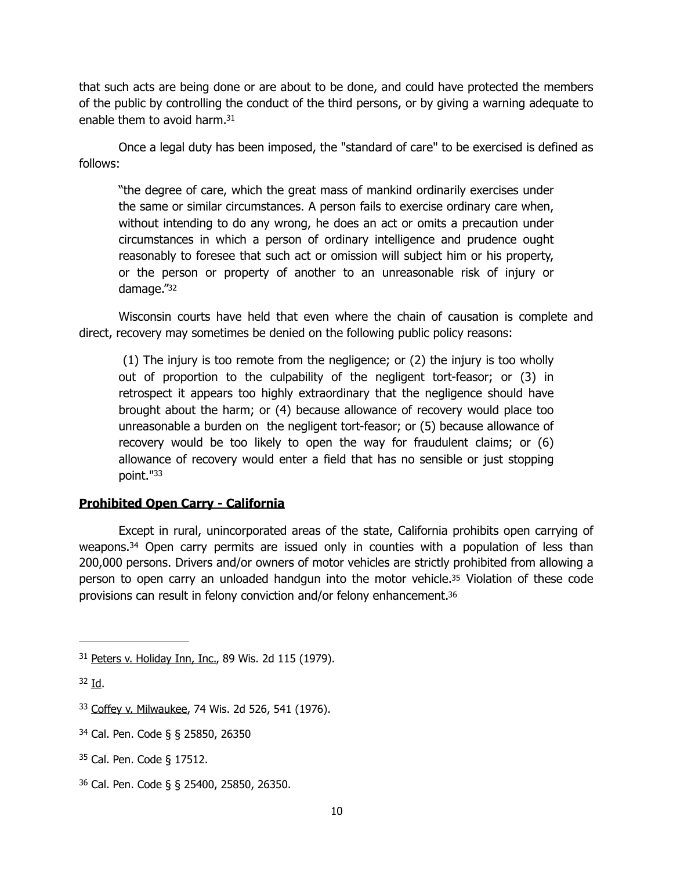that such acts are being done or are about to be done, and could have protected the members of the public by controlling the conduct of the third persons, or by giving a warning adequate to enable them to avoid harm[.](#page-9-0)<sup>[31](#page-9-0)</sup>

Once a legal duty has been imposed, the "standard of care" to be exercised is defined as follows:

<span id="page-9-6"></span>"the degree of care, which the great mass of mankind ordinarily exercises under the same or similar circumstances. A person fails to exercise ordinary care when, without intending to do any wrong, he does an act or omits a precaution under circumstances in which a person of ordinary intelligence and prudence ought reasonably to foresee that such act or omission will subject him or his property, or the person or property of another to an unreasonable risk of injury or damage.["32](#page-9-1)

Wisconsin courts have held that even where the chain of causation is complete and direct, recovery may sometimes be denied on the following public policy reasons:

<span id="page-9-7"></span> (1) The injury is too remote from the negligence; or (2) the injury is too wholly out of proportion to the culpability of the negligent tort-feasor; or (3) in retrospect it appears too highly extraordinary that the negligence should have brought about the harm; or (4) because allowance of recovery would place too unreasonable a burden on the negligent tort-feasor; or (5) because allowance of recovery would be too likely to open the way for fraudulent claims; or (6) allowance of recovery would enter a field that has no sensible or just stopping point.["](#page-9-2)[33](#page-9-2)

## <span id="page-9-8"></span>**Prohibited Open Carry - California**

<span id="page-9-10"></span><span id="page-9-9"></span>Except in rural, unincorporated areas of the state, California prohibits open carrying of weapons[.](#page-9-3) $34$  Open carry permits are issued only in counties with a population of less than 200,000 persons. Drivers and/or owners of motor vehicles are strictly prohibited from allowing a person to open carry an unloaded handgun into the motor vehicle[.35](#page-9-4) Violation of these code provisions can result in felony conviction and/or felony enhancement[.36](#page-9-5)

- <span id="page-9-3"></span>[34](#page-9-9) Cal. Pen. Code § § 25850, 26350
- <span id="page-9-4"></span> $35$  Cal. Pen. Code § 17512.
- <span id="page-9-5"></span>Cal. Pen. Code § § 25400, 25850, 26350. [36](#page-9-11)

<span id="page-9-11"></span><span id="page-9-0"></span>[<sup>31</sup>](#page-9-6) Peters v. Holiday Inn, Inc., 89 Wis. 2d 115 (1979).

<span id="page-9-1"></span> $32$  Id.

<span id="page-9-2"></span>[<sup>33</sup>](#page-9-8) Coffey v. Milwaukee, 74 Wis. 2d 526, 541 (1976).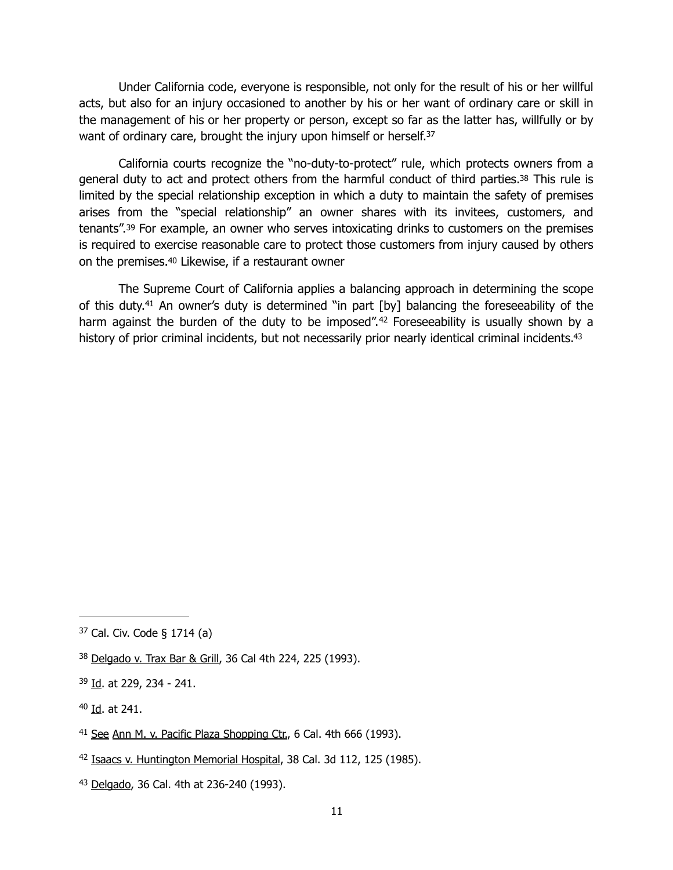Under California code, everyone is responsible, not only for the result of his or her willful acts, but also for an injury occasioned to another by his or her want of ordinary care or skill in the management of his or her property or person, except so far as the latter has, willfully or by want of ordinary care, brought the injury upon himself or herself.<sup>37</sup>

<span id="page-10-8"></span><span id="page-10-7"></span> California courts recognize the "no-duty-to-protect" rule, which protects owners from a general duty to act and protect others from the harmful conduct of third parties[.38](#page-10-1) This rule is limited by the special relationship exception in which a duty to maintain the safety of premises arises from the "special relationship" an owner shares with its invitees, customers, and tenants".[39](#page-10-2) For example, an owner who serves intoxicating drinks to customers on the premises is required to exercise reasonable care to protect those customers from injury caused by others on the premises[.40](#page-10-3) Likewise, if a restaurant owner

<span id="page-10-13"></span><span id="page-10-12"></span><span id="page-10-11"></span><span id="page-10-10"></span><span id="page-10-9"></span>The Supreme Court of California applies a balancing approach in determining the scope of this duty[.](#page-10-4)<sup>[41](#page-10-4)</sup> An owner's duty is determined "in part  $[by]$  balancing the foreseeability of the harmagainst the burden of the duty to be imposed".<sup>[42](#page-10-5)</sup> Foreseeability is usually shown by a history of prior criminal incidents, but not necessarily prior nearly identical criminal incidents[.](#page-10-6)<sup>[43](#page-10-6)</sup>

<span id="page-10-0"></span>[<sup>37</sup>](#page-10-7) Cal. Civ. Code § 1714 (a)

<span id="page-10-1"></span>[<sup>38</sup>](#page-10-8) Delgado v. Trax Bar & Grill, 36 Cal 4th 224, 225 (1993).

<span id="page-10-2"></span><sup>&</sup>lt;sup>[39](#page-10-9)</sup> Id. at 229, 234 - 241.

<span id="page-10-3"></span> $40$  Id. at 241.

<span id="page-10-4"></span><sup>&</sup>lt;sup>[41](#page-10-11)</sup> See Ann M. v. Pacific Plaza Shopping Ctr., 6 Cal. 4th 666 (1993).

<span id="page-10-5"></span><sup>&</sup>lt;sup>[42](#page-10-12)</sup> Isaacs v. Huntington Memorial Hospital, 38 Cal. 3d 112, 125 (1985).

<span id="page-10-6"></span>[<sup>43</sup>](#page-10-13) Delgado, 36 Cal. 4th at 236-240 (1993).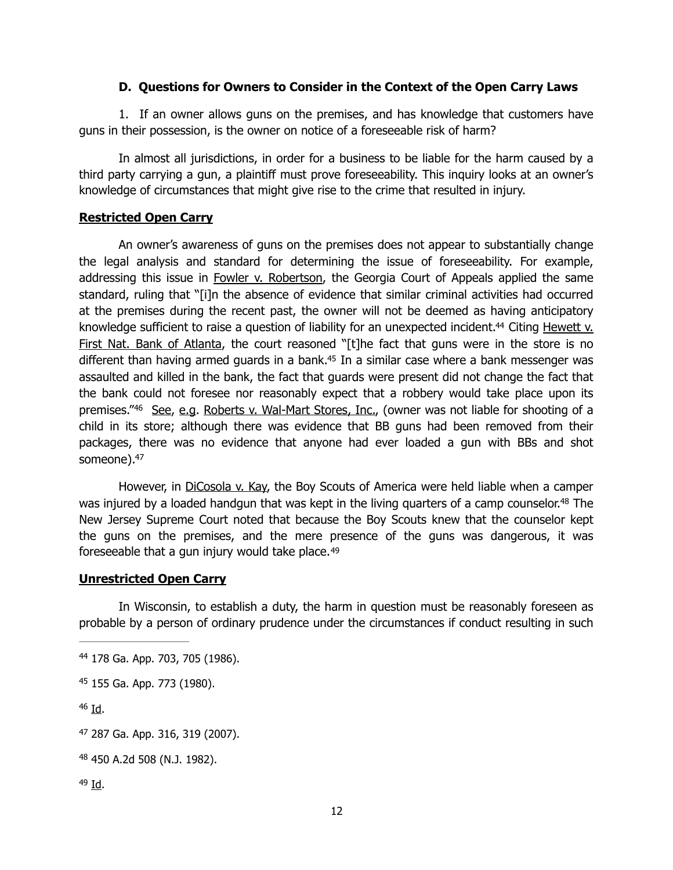## **D. Questions for Owners to Consider in the Context of the Open Carry Laws**

 1. If an owner allows guns on the premises, and has knowledge that customers have guns in their possession, is the owner on notice of a foreseeable risk of harm?

In almost all jurisdictions, in order for a business to be liable for the harm caused by a third party carrying a gun, a plaintiff must prove foreseeability. This inquiry looks at an owner's knowledge of circumstances that might give rise to the crime that resulted in injury.

## **Restricted Open Carry**

<span id="page-11-7"></span><span id="page-11-6"></span>An owner's awareness of guns on the premises does not appear to substantially change the legal analysis and standard for determining the issue of foreseeability. For example, addressing this issue in Fowler v. Robertson, the Georgia Court of Appeals applied the same standard, ruling that "[i]n the absence of evidence that similar criminal activities had occurred at the premises during the recent past, the owner will not be deemed as having anticipatory knowledgesufficient to raise a question of liability for an unexpected incident.<sup>[44](#page-11-0)</sup> Citing Hewett  $v$ . First Nat. Bank of Atlanta, the court reasoned "[t]he fact that guns were in the store is no different than having armed guards in a bank[.](#page-11-1)<sup>[45](#page-11-1)</sup> In a similar case where a bank messenger was assaulted and killed in the bank, the fact that guards were present did not change the fact that the bank could not foresee nor reasonably expect that a robbery would take place upon its premises."<sup>46</sup>See, e.g. Roberts v. Wal-Mart Stores, Inc., (owner was not liable for shooting of a child in its store; although there was evidence that BB guns had been removed from their packages, there was no evidence that anyone had ever loaded a gun with BBs and shot someone)[.](#page-11-3)<sup>[47](#page-11-3)</sup>

<span id="page-11-10"></span><span id="page-11-9"></span><span id="page-11-8"></span>However, in DiCosola v. Kay, the Boy Scouts of America were held liable when a camper was injured by a loaded handgun that was kept in the living quarters of a camp counselor[.](#page-11-4)<sup>[48](#page-11-4)</sup> The New Jersey Supreme Court noted that because the Boy Scouts knew that the counselor kept the guns on the premises, and the mere presence of the guns was dangerous, it was foreseeable that a gun injury would take place.[49](#page-11-5) 

#### <span id="page-11-11"></span>**Unrestricted Open Carry**

In Wisconsin, to establish a duty, the harm in question must be reasonably foreseen as probable by a person of ordinary prudence under the circumstances if conduct resulting in such

<span id="page-11-2"></span> $46$  Id.

<span id="page-11-0"></span>[<sup>44</sup>](#page-11-6) 178 Ga. App. 703, 705 (1986).

<span id="page-11-1"></span>[<sup>45</sup>](#page-11-7) 155 Ga. App. 773 (1980).

<span id="page-11-3"></span> <sup>287</sup> Ga. App. 316, 319 (2007). [47](#page-11-9)

<span id="page-11-4"></span> <sup>450</sup> A.2d 508 (N.J. 1982). [48](#page-11-10)

<span id="page-11-5"></span> $49$  Id.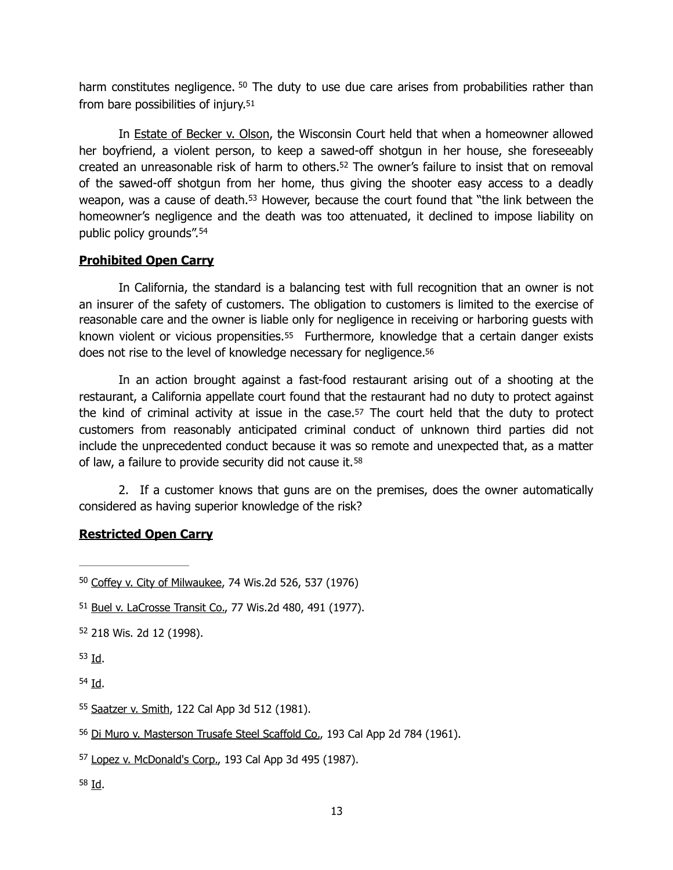<span id="page-12-10"></span><span id="page-12-9"></span>harm constitutes negligence.  $50$  The duty to use due care arises from probabilities rather than from bare possibilities of injury.[51](#page-12-1)

<span id="page-12-11"></span>In Estate of Becker v. Olson, the Wisconsin Court held that when a homeowner allowed her boyfriend, a violent person, to keep a sawed-off shotgun in her house, she foreseeably created an unreasonable risk of harm to others[.](#page-12-2)<sup>[52](#page-12-2)</sup> The owner's failure to insist that on removal of the sawed-off shotgun from her home, thus giving the shooter easy access to a deadly weapon, was a cause of death[.](#page-12-3)<sup>[53](#page-12-3)</sup> However, because the court found that "the link between the homeowner's negligence and the death was too attenuated, it declined to impose liability on public policy grounds". [54](#page-12-4)

## <span id="page-12-13"></span><span id="page-12-12"></span>**Prohibited Open Carry**

In California, the standard is a balancing test with full recognition that an owner is not an insurer of the safety of customers. The obligation to customers is limited to the exercise of reasonable care and the owner is liable only for negligence in receiving or harboring guests with known violent or vicious propensities.<sup>55</sup> Furthermore, knowledge that a certain danger exists does not rise to the level of knowledge necessary for negligence[.56](#page-12-6)

<span id="page-12-16"></span><span id="page-12-15"></span><span id="page-12-14"></span>In an action brought against a fast-food restaurant arising out of a shooting at the restaurant, a California appellate court found that the restaurant had no duty to protect against the kind of criminal activity at issue in the case.[57](#page-12-7) The court held that the duty to protect customers from reasonably anticipated criminal conduct of unknown third parties did not include the unprecedented conduct because it was so remote and unexpected that, as a matter of law, a failure to provide security did not cause it.[58](#page-12-8)

<span id="page-12-17"></span> 2. If a customer knows that guns are on the premises, does the owner automatically considered as having superior knowledge of the risk?

## **Restricted Open Carry**

<span id="page-12-6"></span><sup>[56](#page-12-15)</sup> Di Muro v. Masterson Trusafe Steel Scaffold Co., 193 Cal App 2d 784 (1961).

<span id="page-12-8"></span> $58$  Id.

<span id="page-12-0"></span><sup>&</sup>lt;sup>[50](#page-12-9)</sup> Coffey v. City of Milwaukee, 74 Wis.2d 526, 537 (1976)

<span id="page-12-1"></span>[<sup>51</sup>](#page-12-10) Buel v. LaCrosse Transit Co., 77 Wis.2d 480, 491 (1977).

<span id="page-12-2"></span>[<sup>52</sup>](#page-12-11) 218 Wis. 2d 12 (1998).

<span id="page-12-3"></span> $53$  Id.

<span id="page-12-4"></span> $54$  Id.

<span id="page-12-5"></span>[<sup>55</sup>](#page-12-14) Saatzer v. Smith, 122 Cal App 3d 512 (1981).

<span id="page-12-7"></span>[<sup>57</sup>](#page-12-16) Lopez v. McDonald's Corp., 193 Cal App 3d 495 (1987).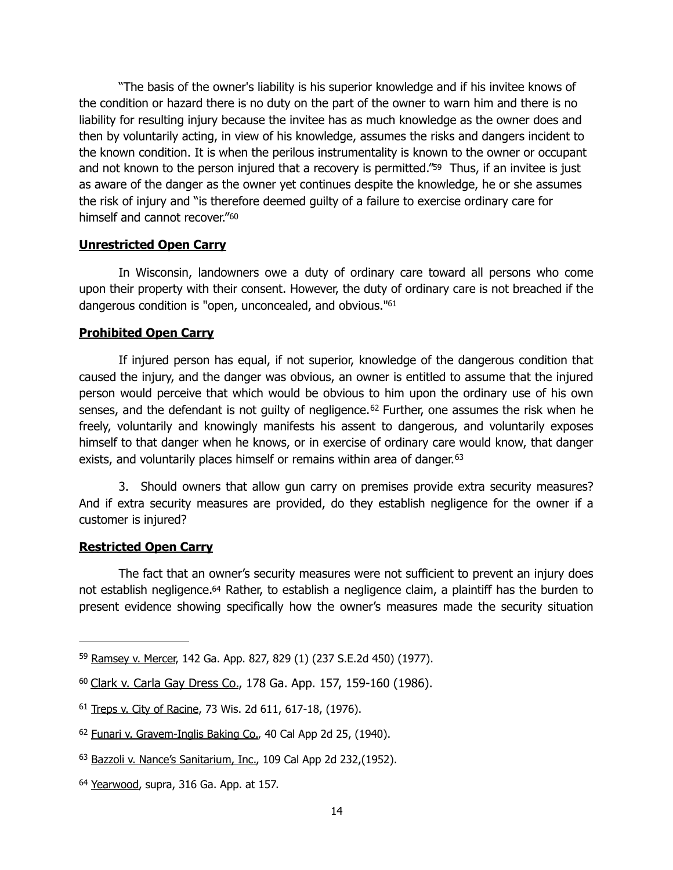"The basis of the owner's liability is his superior knowledge and if his invitee knows of the condition or hazard there is no duty on the part of the owner to warn him and there is no liability for resulting injury because the invitee has as much knowledge as the owner does and then by voluntarily acting, in view of his knowledge, assumes the risks and dangers incident to the known condition. It is when the perilous instrumentality is known to the owner or occupant and not known to the person injured that a recovery is permitted."<sup>59</sup> Thus, if an invitee is just as aware of the danger as the owner yet continues despite the knowledge, he or she assumes the risk of injury and "is therefore deemed guilty of a failure to exercise ordinary care for himself and cannot recover."[60](#page-13-1)

#### <span id="page-13-7"></span><span id="page-13-6"></span>**Unrestricted Open Carry**

In Wisconsin, landowners owe a duty of ordinary care toward all persons who come upon their property with their consent. However, the duty of ordinary care is not breached if the dangerous condition is ["](#page-13-2)open, unconcealed, and obvious."<sup>[61](#page-13-2)</sup>

#### <span id="page-13-8"></span>**Prohibited Open Carry**

<span id="page-13-9"></span> If injured person has equal, if not superior, knowledge of the dangerous condition that caused the injury, and the danger was obvious, an owner is entitled to assume that the injured person would perceive that which would be obvious to him upon the ordinary use of his own senses,and the defendant is not guilty of negligence.<sup>[62](#page-13-3)</sup> Further, one assumes the risk when he freely, voluntarily and knowingly manifests his assent to dangerous, and voluntarily exposes himself to that danger when he knows, or in exercise of ordinary care would know, that danger exists, and voluntarily places himself or remains within area of danger.<sup>63</sup>

<span id="page-13-10"></span> 3. Should owners that allow gun carry on premises provide extra security measures? And if extra security measures are provided, do they establish negligence for the owner if a customer is injured?

#### **Restricted Open Carry**

<span id="page-13-11"></span>The fact that an owner's security measures were not sufficient to prevent an injury does not establish negligence[.64](#page-13-5) Rather, to establish a negligence claim, a plaintiff has the burden to present evidence showing specifically how the owner's measures made the security situation

<span id="page-13-0"></span>[<sup>59</sup>](#page-13-6) Ramsey v. Mercer, 142 Ga. App. 827, 829 (1) (237 S.E.2d 450) (1977).

<span id="page-13-1"></span>[<sup>60</sup>](#page-13-7) Clark v. Carla Gay Dress Co., 178 Ga. App. 157, 159-160 (1986).

<span id="page-13-2"></span><sup>&</sup>lt;sup>[61](#page-13-8)</sup> Treps v. City of Racine, 73 Wis. 2d 611, 617-18, (1976).

<span id="page-13-3"></span>[<sup>62</sup>](#page-13-9) Funari v. Gravem-Inglis Baking Co., 40 Cal App 2d 25, (1940).

<span id="page-13-4"></span>[<sup>63</sup>](#page-13-10) Bazzoli v. Nance's Sanitarium, Inc., 109 Cal App 2d 232, (1952).

<span id="page-13-5"></span>[<sup>64</sup>](#page-13-11) Yearwood, supra, 316 Ga. App. at 157.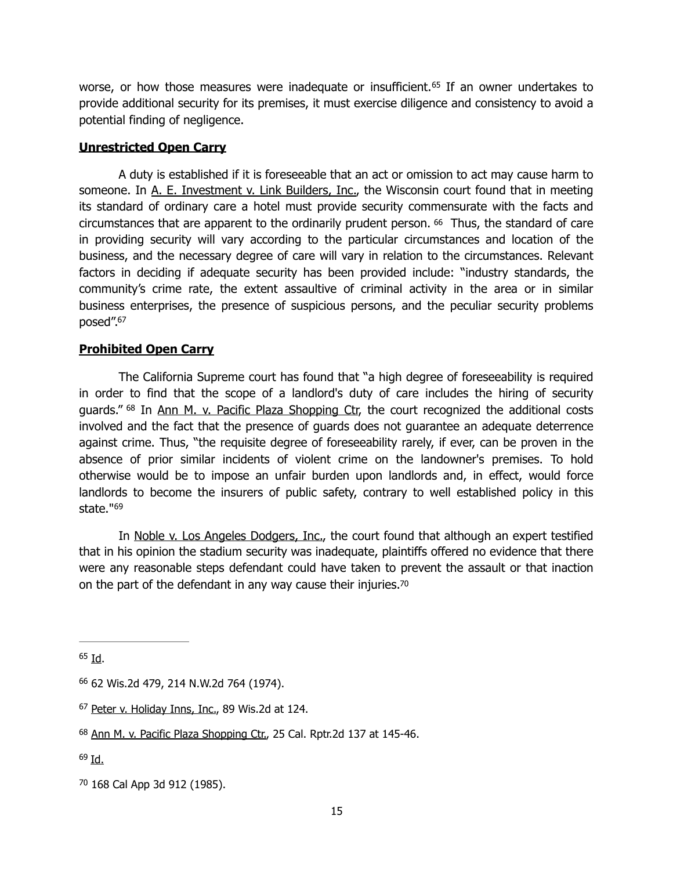<span id="page-14-6"></span>worse,or how those measures were inadequate or insufficient.<sup> $65$ </sup> If an owner undertakes to provide additional security for its premises, it must exercise diligence and consistency to avoid a potential finding of negligence.

### **Unrestricted Open Carry**

<span id="page-14-7"></span> A duty is established if it is foreseeable that an act or omission to act may cause harm to someone. In A. E. Investment v. Link Builders, Inc., the Wisconsin court found that in meeting its standard of ordinary care a hotel must provide security commensurate with the facts and circumstances that are apparent to the ordinarily prudent person. [66](#page-14-1) Thus, the standard of care in providing security will vary according to the particular circumstances and location of the business, and the necessary degree of care will vary in relation to the circumstances. Relevant factors in deciding if adequate security has been provided include: "industry standards, the community's crime rate, the extent assaultive of criminal activity in the area or in similar business enterprises, the presence of suspicious persons, and the peculiar security problems posed".<sup>67</sup>

## <span id="page-14-8"></span>**Prohibited Open Carry**

<span id="page-14-9"></span>The California Supreme court has found that "a high degree of foreseeability is required in order to find that the scope of a landlord's duty of care includes the hiring of security guards."<sup>[68](#page-14-3)</sup> In Ann M. v. Pacific Plaza Shopping Ctr, the court recognized the additional costs involved and the fact that the presence of guards does not guarantee an adequate deterrence against crime. Thus, "the requisite degree of foreseeability rarely, if ever, can be proven in the absence of prior similar incidents of violent crime on the landowner's premises. To hold otherwise would be to impose an unfair burden upon landlords and, in effect, would force landlords to become the insurers of public safety, contrary to well established policy in this state."<sup>69</sup>

<span id="page-14-11"></span><span id="page-14-10"></span> In Noble v. Los Angeles Dodgers, Inc., the court found that although an expert testified that in his opinion the stadium security was inadequate, plaintiffs offered no evidence that there were any reasonable steps defendant could have taken to prevent the assault or that inaction on the part of the defendant in any way cause their injuries[.70](#page-14-5)

<span id="page-14-4"></span> $69$  Id.

<span id="page-14-0"></span> $65$  Id.

<span id="page-14-1"></span> <sup>62</sup> Wis.2d 479, 214 N.W.2d 764 (1974). [66](#page-14-7)

<span id="page-14-2"></span> $67$  Peter v. Holiday Inns, Inc., 89 Wis.2d at 124.

<span id="page-14-3"></span>[<sup>68</sup>](#page-14-9) Ann M. v. Pacific Plaza Shopping Ctr., 25 Cal. Rptr.2d 137 at 145-46.

<span id="page-14-5"></span>[<sup>70</sup>](#page-14-11) 168 Cal App 3d 912 (1985).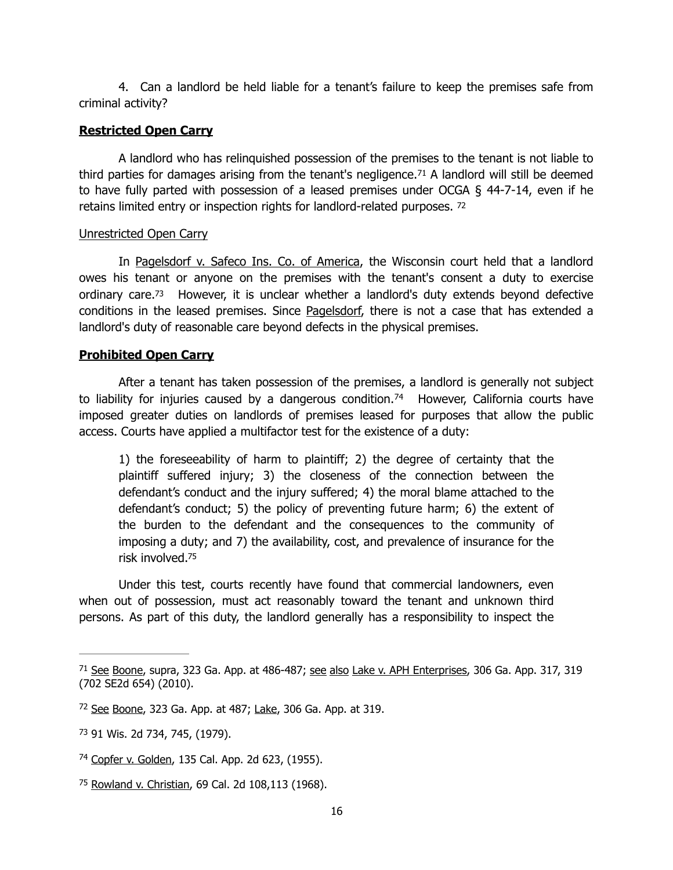4. Can a landlord be held liable for a tenant's failure to keep the premises safe from criminal activity?

## **Restricted Open Carry**

<span id="page-15-5"></span>A landlord who has relinquished possession of the premises to the tenant is not liable to thirdparties for damages arising from the tenant's negligence.<sup>[71](#page-15-0)</sup> A landlord will still be deemed to have fully parted with possession of a leased premises under OCGA § 44-7-14, even if he retains limited entry or inspection rights for landlord-related purposes. [72](#page-15-1)

#### <span id="page-15-6"></span>Unrestricted Open Carry

<span id="page-15-7"></span>In Pagelsdorf v. Safeco Ins. Co. of America, the Wisconsin court held that a landlord owes his tenant or anyone on the premises with the tenant's consent a duty to exercise ordinary care[.73](#page-15-2) However, it is unclear whether a landlord's duty extends beyond defective conditions in the leased premises. Since Pagelsdorf, there is not a case that has extended a landlord's duty of reasonable care beyond defects in the physical premises.

## **Prohibited Open Carry**

After a tenant has taken possession of the premises, a landlord is generally not subject toliability for injuries caused by a dangerous condition.<sup>[74](#page-15-3)</sup> However, California courts have imposed greater duties on landlords of premises leased for purposes that allow the public access. Courts have applied a multifactor test for the existence of a duty:

<span id="page-15-8"></span>1) the foreseeability of harm to plaintiff; 2) the degree of certainty that the plaintiff suffered injury; 3) the closeness of the connection between the defendant's conduct and the injury suffered; 4) the moral blame attached to the defendant's conduct; 5) the policy of preventing future harm; 6) the extent of the burden to the defendant and the consequences to the community of imposing a duty; and 7) the availability, cost, and prevalence of insurance for the risk involved[.](#page-15-4) [75](#page-15-4)

<span id="page-15-9"></span>Under this test, courts recently have found that commercial landowners, even when out of possession, must act reasonably toward the tenant and unknown third persons. As part of this duty, the landlord generally has a responsibility to inspect the

<span id="page-15-0"></span><sup>&</sup>lt;sup>[71](#page-15-5)</sup> See Boone, supra, 323 Ga. App. at 486-487; see also Lake v. APH Enterprises, 306 Ga. App. 317, 319 (702 SE2d 654) (2010).

<span id="page-15-1"></span>[<sup>72</sup>](#page-15-6) See Boone, 323 Ga. App. at 487; Lake, 306 Ga. App. at 319.

<span id="page-15-2"></span>[<sup>73</sup>](#page-15-7) 91 Wis. 2d 734, 745, (1979).

<span id="page-15-3"></span><sup>&</sup>lt;sup>[74](#page-15-8)</sup> Copfer v. Golden, 135 Cal. App. 2d 623, (1955).

<span id="page-15-4"></span><sup>&</sup>lt;sup>[75](#page-15-9)</sup> Rowland v. Christian, 69 Cal. 2d 108,113 (1968).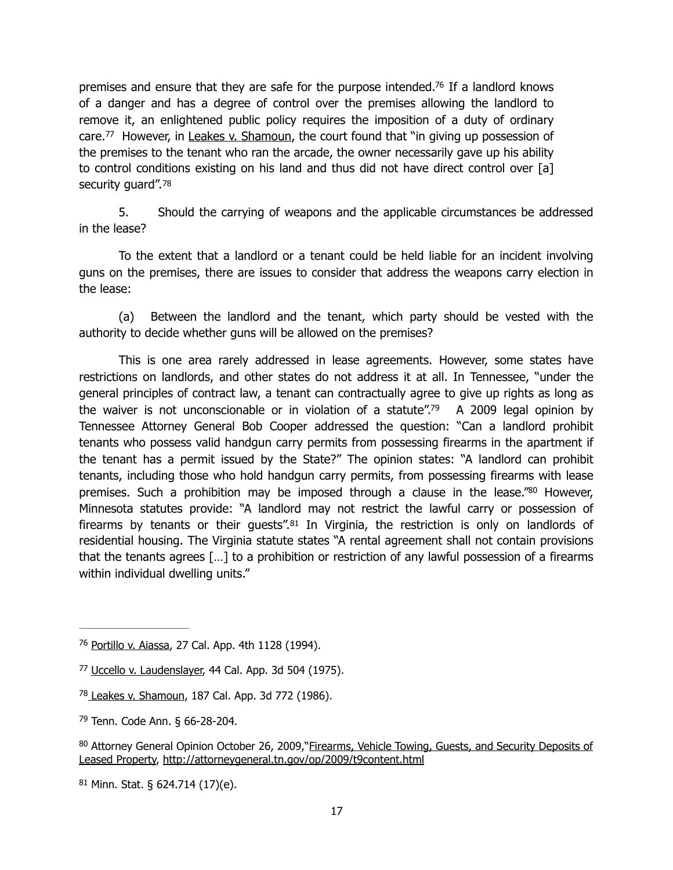<span id="page-16-7"></span><span id="page-16-6"></span>premises and ensure that they are safe for the purpose intended[.](#page-16-0)<sup>[76](#page-16-0)</sup> If a landlord knows of a danger and has a degree of control over the premises allowing the landlord to remove it, an enlightened public policy requires the imposition of a duty of ordinary care.<sup>77</sup>However, in Leakes v. Shamoun, the court found that "in giving up possession of the premises to the tenant who ran the arcade, the owner necessarily gave up his ability to control conditions existing on his land and thus did not have direct control over [a] security quard".<sup>78</sup>

<span id="page-16-8"></span> 5. Should the carrying of weapons and the applicable circumstances be addressed in the lease?

To the extent that a landlord or a tenant could be held liable for an incident involving guns on the premises, there are issues to consider that address the weapons carry election in the lease:

 (a) Between the landlord and the tenant, which party should be vested with the authority to decide whether guns will be allowed on the premises?

<span id="page-16-10"></span><span id="page-16-9"></span>This is one area rarely addressed in lease agreements. However, some states have restrictions on landlords, and other states do not address it at all. In Tennessee, "under the general principles of contract law, a tenant can contractually agree to give up rights as long as the waiver is not unconscionable or in violation of a statute"[.](#page-16-3)<sup>[79](#page-16-3)</sup> A 2009 legal opinion by Tennessee Attorney General Bob Cooper addressed the question: "Can a landlord prohibit tenants who possess valid handgun carry permits from possessing firearms in the apartment if the tenant has a permit issued by the State?" The opinion states: "A landlord can prohibit tenants, including those who hold handgun carry permits, from possessing firearms with lease premises. Such a prohibition may be imposed through a clause in the lease.["](#page-16-4) $80$  However, Minnesota statutes provide: "A landlord may not restrict the lawful carry or possession of firearmsby tenants or their guests".<sup>[81](#page-16-5)</sup> In Virginia, the restriction is only on landlords of residential housing. The Virginia statute states "A rental agreement shall not contain provisions that the tenants agrees […] to a prohibition or restriction of any lawful possession of a firearms within individual dwelling units."

<span id="page-16-11"></span><span id="page-16-0"></span><sup>&</sup>lt;sup>[76](#page-16-6)</sup> Portillo v. Aiassa, 27 Cal. App. 4th 1128 (1994).

<span id="page-16-1"></span><sup>&</sup>lt;sup>[77](#page-16-7)</sup> Uccello v. Laudenslayer, 44 Cal. App. 3d 504 (1975).

<span id="page-16-2"></span><sup>&</sup>lt;sup>[78](#page-16-8)</sup> Leakes v. Shamoun, 187 Cal. App. 3d 772 (1986).

<span id="page-16-3"></span>[<sup>79</sup>](#page-16-9) Tenn. Code Ann. § 66-28-204.

<span id="page-16-4"></span>[<sup>80</sup>](#page-16-10) Attorney General Opinion October 26, 2009,"Firearms, Vehicle Towing, Guests, and Security Deposits of Leased Property,<http://attorneygeneral.tn.gov/op/2009/t9content.html>

<span id="page-16-5"></span> $81$  Minn. Stat. § 624.714 (17)(e).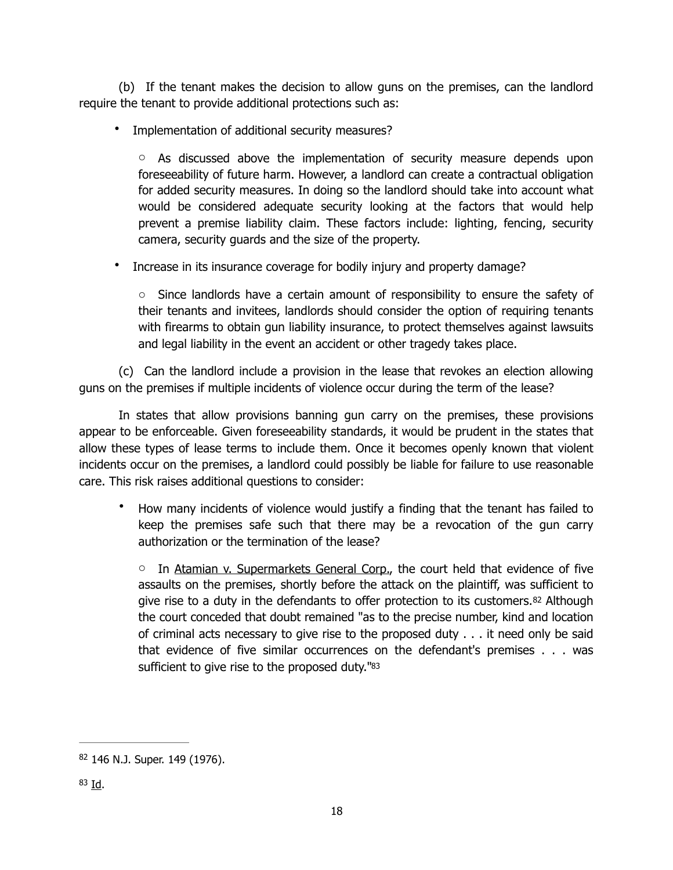(b) If the tenant makes the decision to allow guns on the premises, can the landlord require the tenant to provide additional protections such as:

• Implementation of additional security measures?

 $\circ$  As discussed above the implementation of security measure depends upon foreseeability of future harm. However, a landlord can create a contractual obligation for added security measures. In doing so the landlord should take into account what would be considered adequate security looking at the factors that would help prevent a premise liability claim. These factors include: lighting, fencing, security camera, security guards and the size of the property.

• Increase in its insurance coverage for bodily injury and property damage?

 $\circ$  Since landlords have a certain amount of responsibility to ensure the safety of their tenants and invitees, landlords should consider the option of requiring tenants with firearms to obtain gun liability insurance, to protect themselves against lawsuits and legal liability in the event an accident or other tragedy takes place.

 (c) Can the landlord include a provision in the lease that revokes an election allowing guns on the premises if multiple incidents of violence occur during the term of the lease?

 In states that allow provisions banning gun carry on the premises, these provisions appear to be enforceable. Given foreseeability standards, it would be prudent in the states that allow these types of lease terms to include them. Once it becomes openly known that violent incidents occur on the premises, a landlord could possibly be liable for failure to use reasonable care. This risk raises additional questions to consider:

• How many incidents of violence would justify a finding that the tenant has failed to keep the premises safe such that there may be a revocation of the gun carry authorization or the termination of the lease?

<span id="page-17-3"></span><span id="page-17-2"></span>o In Atamian v. Supermarkets General Corp., the court held that evidence of five assaults on the premises, shortly before the attack on the plaintiff, was sufficient to give rise to a duty in the defendants to offer protection to its customers.[82](#page-17-0) Although the court conceded that doubt remained "as to the precise number, kind and location of criminal acts necessary to give rise to the proposed duty . . . it need only be said that evidence of five similar occurrences on the defendant's premises . . . was sufficient to give rise to the proposed duty.["83](#page-17-1)

<span id="page-17-1"></span><span id="page-17-0"></span>[<sup>82</sup>](#page-17-2) 146 N.J. Super. 149 (1976).